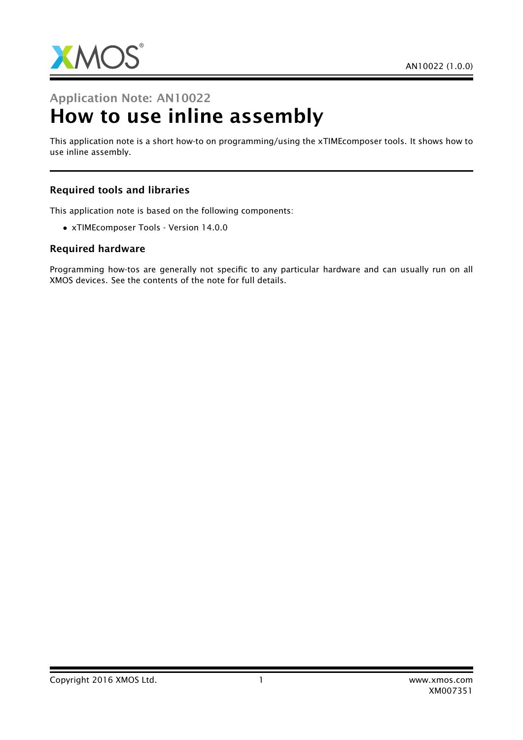

# Application Note: AN10022 How to use inline assembly

This application note is a short how-to on programming/using the xTIMEcomposer tools. It shows how to use inline assembly.

#### Required tools and libraries

This application note is based on the following components:

• xTIMEcomposer Tools - Version 14.0.0

#### Required hardware

Programming how-tos are generally not specific to any particular hardware and can usually run on all XMOS devices. See the contents of the note for full details.